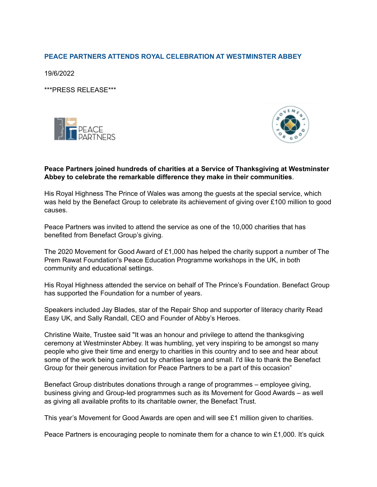# **PEACE PARTNERS ATTENDS ROYAL CELEBRATION AT WESTMINSTER ABBEY**

19/6/2022

\*\*\*PRESS RELEASE\*\*\*





### **Peace Partners joined hundreds of charities at a Service of Thanksgiving at Westminster Abbey to celebrate the remarkable difference they make in their communities**.

His Royal Highness The Prince of Wales was among the guests at the special service, which was held by the Benefact Group to celebrate its achievement of giving over £100 million to good causes.

Peace Partners was invited to attend the service as one of the 10,000 charities that has benefited from Benefact Group's giving.

The 2020 Movement for Good Award of £1,000 has helped the charity support a number of The Prem Rawat Foundation's Peace Education Programme workshops in the UK, in both community and educational settings.

His Royal Highness attended the service on behalf of The Prince's Foundation. Benefact Group has supported the Foundation for a number of years.

Speakers included Jay Blades, star of the Repair Shop and supporter of literacy charity Read Easy UK, and Sally Randall, CEO and Founder of Abby's Heroes.

Christine Waite, Trustee said "It was an honour and privilege to attend the thanksgiving ceremony at Westminster Abbey. It was humbling, yet very inspiring to be amongst so many people who give their time and energy to charities in this country and to see and hear about some of the work being carried out by charities large and small. I'd like to thank the Benefact Group for their generous invitation for Peace Partners to be a part of this occasion"

Benefact Group distributes donations through a range of programmes – employee giving, business giving and Group-led programmes such as its Movement for Good Awards – as well as giving all available profits to its charitable owner, the Benefact Trust.

This year's Movement for Good Awards are open and will see £1 million given to charities.

Peace Partners is encouraging people to nominate them for a chance to win £1,000. It's quick